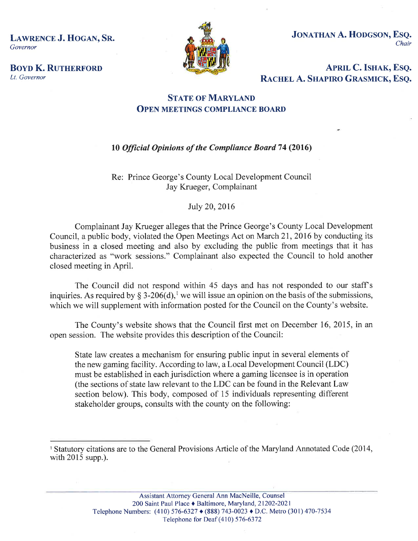LAWRENCE J. HOGAN, SR. Governor



JONATHAN A. HODGSON, ESQ. Chair

**BOYD K. RUTHERFORD** Lt. Governor

APRIL C. ISHAK, ESQ.<br>RACHEL A. SHAPIRO GRASMICK, ESQ.

### **STATE OF MARYLAND** OPEN MEETINGS COMPLIANCE BOARD

## 10 Official Opinions of the Compliance Board 74 (2016)

Re: Prince George's County Local Development Council Jay Krueger, Complainant

#### July 20,2016

Complainant Jay Krueger alleges that the Prince George's County Local Development Council, a public body, violated the Open Meetings Act on March 21,2016 by conducting its business in a closed meeting and also by excluding the public from meetings that it has characterized as "work sessions." Complainant also expected the Council to hold another closed meeting in April.

The Council did not respond within 45 days and has not responded to our staff's inquiries. As required by § 3-206(d),<sup>1</sup> we will issue an opinion on the basis of the submissions, which we will supplement with information posted for the Council on the County's website.

The County's website shows that the Council first met on December 16, 2015, in an open session. The website provides this description of the Council:

State law creates a mechanism for ensuring public input in several elements of the new gaming facility. According to law, a Local Development Council (LDC) must be established in each jurisdiction where a gaming licensee is in operation (the sections of state law relevant to the LDC can be found in the Relevant Law section below). This body, composed of 15 individuals representing different stakeholder groups, consults with the county on the following:

<sup>&#</sup>x27; Statutory citations are to the General Provisions Article of the Maryland Annotated Code (2014, with 2015 supp.).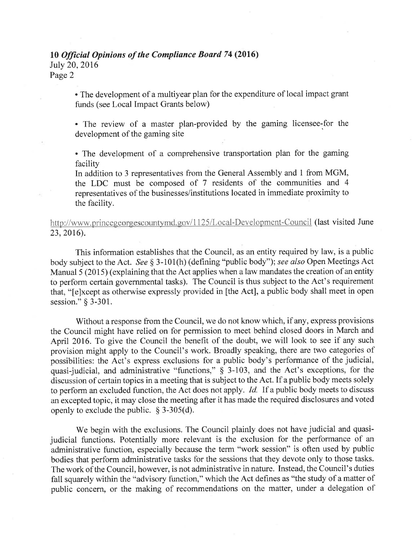# 10 Official Opinions of the Compliance Board 74 (2016)

Iuly 20,2016

Page 2

. The development of a multiyear plan for the expenditure of local impact grant funds (see Local Impact Grants below)

. The review of a master plan'provided by the gaming licensee-for the development of the gaming site

. The development of a comprehensive transportation plan for the gaming facility

In addition to 3 representatives from the General Assembly and I from MGM, the LDC must be composed of 7 residents of the communities and <sup>4</sup> representatives of the businesses/institutions located in immediate proximity to the facility.

http://www.princegeorgescountymd.gov/1125/Local-Development-Council (last visited June 23,2016)

This information establishes that the Council, as an entity required by law, is a public body subject to the Act. See § 3-101(h) (defining "public body"); see also Open Meetings Act Manual 5 (2015) (explaining that the Act applies when a law mandates the creation of an entity to perform certain governmental tasks). The Council is thus subject to the Act's requirement that, "[e]xcept as otherwise expressly provided in [the Act], a public body shall meet in open session." § 3-301.

Without a response from the Council, we do not know which, if any, express provisions the Council might have relied on for permission to meet behind closed doors in March and April 2016. To give the Council the benefit of the doubt, we will look to see if any such provision might apply to the Council's work. Broadly speaking, there are two categories of possibilities: the Act's express exclusions for a public body's performance of the judicial, quasi-judicial, and administrative "functions,"  $\S$  3-103, and the Act's exceptions, for the discussion of certain topics in a meeting that is subject to the Act. If a public body meets solely to perform an excluded function, the Act does not apply. Id. If a public body meets to discuss an excepted topic, it may close the meeting after it has made the required disclosures and voted openly to exclude the public.  $\S$  3-305(d).

We begin with the exclusions. The Council plainly does not have judicial and quasijudicial functions. Potentially more relevant is the exclusion for the performance of an administrative function, especially because the term "work session" is often used by public bodies that perform administrative tasks for the sessions that they devote only to those tasks. The work of the Council, however, is not administrative in nature. Instead, the Council's duties fall squarely within the "advisory function," which the Act defines as "the study of a matter of public concem, or the making of recommendations on the matter, under a delegation of